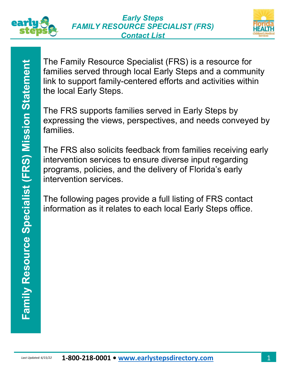



The Family Resource Specialist (FRS) is a resource for families served through local Early Steps and a community link to support family-centered efforts and activities within the local Early Steps.

The FRS supports families served in Early Steps by expressing the views, perspectives, and needs conveyed by families.

**Last Update of the Family Nessucce Specialist (FRS) is a resource of the local Early Steps.**<br> **Capacity Steps.**<br> **Capacity Steps.**<br> **The FRS** supports families served in Early Steps by<br> **Pamilies.**<br> **The FRS** supports fam The FRS also solicits feedback from families receiving early intervention services to ensure diverse input regarding programs, policies, and the delivery of Florida's early intervention services.

The following pages provide a full listing of FRS contact information as it relates to each local Early Steps office.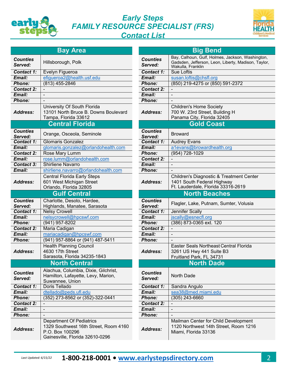

## *Early Steps FAMILY RESOURCE SPECIALIST (FRS) Contact List*



|                            | <b>Bay Area</b>                                                                                                                |                            | <b>Big Bend</b>                                                                              |
|----------------------------|--------------------------------------------------------------------------------------------------------------------------------|----------------------------|----------------------------------------------------------------------------------------------|
| <b>Counties</b>            |                                                                                                                                | <b>Counties</b>            | Bay, Calhoun, Gulf, Holmes, Jackson,                                                         |
| Served:                    | Hillsborough, Polk                                                                                                             | Served:                    | Gadsden, Jefferson, Leon, Liberty, Ma<br>Wakulla, Franklin                                   |
| Contact 1:                 | Evelyn Figueroa                                                                                                                | Contact 1:                 | <b>Sue Loftis</b>                                                                            |
| Email:                     | efigueroa2@health.usf.edu                                                                                                      | Email:                     | susan.loftis@chsfl.org                                                                       |
| <b>Phone:</b>              | $(813)$ 455-2846                                                                                                               | <b>Phone:</b>              | (850) 219-4275 or (850) 591-2372                                                             |
| <b>Contact 2:</b>          |                                                                                                                                | Contact 2:                 |                                                                                              |
| Email:                     |                                                                                                                                | Email:                     |                                                                                              |
| <b>Phone:</b>              |                                                                                                                                | <b>Phone:</b>              |                                                                                              |
| <b>Address:</b>            | University Of South Florida<br>13101 North Bruce B. Downs Boulevard                                                            | Address:                   | <b>Children's Home Society</b><br>700 W. 23rd Street, Building H                             |
|                            | Tampa, Florida 33612<br><b>Central Florida</b>                                                                                 |                            | Panama City, Florida 32405<br><b>Gold Coast</b>                                              |
|                            |                                                                                                                                |                            |                                                                                              |
| <b>Counties</b><br>Served: | Orange, Osceola, Seminole                                                                                                      | <b>Counties</b><br>Served: | <b>Broward</b>                                                                               |
| Contact 1:                 | <b>Glomaris Gonzalez</b>                                                                                                       | Contact 1:                 | <b>Audrey Evans</b>                                                                          |
| Email:                     | glomaris.gonzalez@orlandohealth.com                                                                                            | Email:                     | a1evans@browardhealth.org                                                                    |
| <b>Contact 2:</b>          | Rose Mary Lumm                                                                                                                 | <b>Phone:</b>              | $(954)$ 728-1029                                                                             |
| Email:                     | rose.lumm@orlandohealth.com                                                                                                    | <b>Contact 2:</b>          |                                                                                              |
| <b>Contact 3:</b>          | <b>Shirliene Navarro</b>                                                                                                       | Email:                     | $\blacksquare$                                                                               |
| Email:                     | shirliene.navarro@orlandohealth.com                                                                                            | <b>Phone:</b>              |                                                                                              |
|                            | <b>Central Florida Early Steps</b>                                                                                             |                            | Children's Diagnostic & Treatment                                                            |
| Address:                   | 601 West Michigan Street<br>Orlando, Florida 32805                                                                             | Address:                   | 1401 South Federal Highway<br>Ft. Lauderdale, Florida 33316-261                              |
|                            | <b>Gulf Central</b>                                                                                                            |                            | <b>North Beaches</b>                                                                         |
| <b>Counties</b>            | Charlotte, Desoto, Hardee,                                                                                                     | <b>Counties</b>            | Flagler, Lake, Putnam, Sumter, Vo                                                            |
| Served:                    | Highlands, Manatee, Sarasota                                                                                                   | Served:                    |                                                                                              |
| Contact 1:                 | <b>Nelsy Crowell</b>                                                                                                           | Contact 1:                 | <b>Jennifer Scally</b>                                                                       |
| Email:                     | nelsycrowell@hpcswf.com                                                                                                        | Email:                     | jscally@esnecfl.org                                                                          |
| <b>Phone:</b>              | $(941)$ 957-8202                                                                                                               | <b>Phone:</b>              | (386) 873-0365 ext. 120                                                                      |
| <b>Contact 2:</b>          | Maria Cadigan                                                                                                                  | <b>Contact 2:</b>          |                                                                                              |
| Email:                     | mariacadigan@hpcswf.com                                                                                                        | Email:                     |                                                                                              |
| <b>Phone:</b>              | (941) 957-8864 or (941) 487-5411                                                                                               | <b>Phone:</b>              |                                                                                              |
|                            | <b>Health Planning Council</b>                                                                                                 |                            | <b>Easter Seals Northeast Central Flo</b>                                                    |
| <b>Address:</b>            | 4630 17th Street                                                                                                               | Address:                   | 3261 US Hwy 441 Suite B3                                                                     |
|                            | Sarasota, Florida 34235-1843                                                                                                   |                            | Fruitland Park, FL 34731                                                                     |
|                            | <b>North Central</b>                                                                                                           |                            | <b>North Dade</b>                                                                            |
| <b>Counties</b>            | Alachua, Columbia, Dixie, Gilchrist,                                                                                           | <b>Counties</b>            |                                                                                              |
| Served:                    | Hamilton, Lafayette, Levy, Marion,                                                                                             | Served:                    | North Dade                                                                                   |
|                            | Suwannee, Union                                                                                                                |                            |                                                                                              |
| <b>Contact 1:</b>          | Doris Tellado                                                                                                                  | <b>Contact 1:</b>          | Sandra Angulo                                                                                |
| Email:                     | dtellado@peds.ufl.edu                                                                                                          | Email:                     | sea38@med.miami.edu                                                                          |
| Phone:                     | (352) 273-8562 or (352)-322-0441                                                                                               | Phone:                     | $(305)$ 243-6660                                                                             |
| <b>Contact 2:</b>          |                                                                                                                                | <b>Contact 2:</b>          |                                                                                              |
| Email:                     | $\overline{\phantom{a}}$                                                                                                       | Email:                     | $\overline{\phantom{a}}$                                                                     |
| Phone:                     |                                                                                                                                | Phone:                     |                                                                                              |
| <b>Address:</b>            | <b>Department Of Pediatrics</b><br>1329 Southwest 16th Street, Room 4160<br>P.O. Box 100296<br>Gainesville, Florida 32610-0296 | <b>Address:</b>            | Mailman Center for Child Develop<br>1120 Northwest 14th Street, Roon<br>Miami, Florida 33136 |

| <b>Bay Area</b>                                                                                              | <b>Big Bend</b>            |                                                                                                                              |  |
|--------------------------------------------------------------------------------------------------------------|----------------------------|------------------------------------------------------------------------------------------------------------------------------|--|
| sborough, Polk                                                                                               | <b>Counties</b><br>Served: | Bay, Calhoun, Gulf, Holmes, Jackson, Washington,<br>Gadsden, Jefferson, Leon, Liberty, Madison, Taylor,<br>Wakulla, Franklin |  |
| llyn Figueroa                                                                                                | <b>Contact 1:</b>          | <b>Sue Loftis</b>                                                                                                            |  |
| ueroa2@health.usf.edu                                                                                        | Email:                     | susan.loftis@chsfl.org                                                                                                       |  |
| 3) 455-2846                                                                                                  | <b>Phone:</b>              | (850) 219-4275 or (850) 591-2372                                                                                             |  |
|                                                                                                              | <b>Contact 2:</b>          |                                                                                                                              |  |
|                                                                                                              | Email:                     |                                                                                                                              |  |
|                                                                                                              | <b>Phone:</b>              |                                                                                                                              |  |
| versity Of South Florida<br>01 North Bruce B. Downs Boulevard<br>npa, Florida 33612                          | Address:                   | <b>Children's Home Society</b><br>700 W. 23rd Street, Building H<br>Panama City, Florida 32405                               |  |
| <b>Central Florida</b>                                                                                       |                            | <b>Gold Coast</b>                                                                                                            |  |
| ınge, Osceola, Seminole                                                                                      | <b>Counties</b><br>Served: | <b>Broward</b>                                                                                                               |  |
| maris Gonzalez                                                                                               | Contact 1:                 | <b>Audrey Evans</b>                                                                                                          |  |
| maris.gonzalez@orlandohealth.com                                                                             | Email:                     | a1evans@browardhealth.org                                                                                                    |  |
| se Mary Lumm                                                                                                 | <b>Phone:</b>              | $(954) 728 - 1029$                                                                                                           |  |
| e.lumm@orlandohealth.com                                                                                     | <b>Contact 2:</b>          |                                                                                                                              |  |
| rliene Navarro                                                                                               | Email:                     |                                                                                                                              |  |
| liene.navarro@orlandohealth.com                                                                              | <b>Phone:</b>              |                                                                                                                              |  |
| <b>htral Florida Early Steps</b><br>West Michigan Street<br>ando, Florida 32805                              | <b>Address:</b>            | Children's Diagnostic & Treatment Center<br>1401 South Federal Highway<br>Ft. Lauderdale, Florida 33316-2619                 |  |
| <b>Gulf Central</b>                                                                                          |                            | <b>North Beaches</b>                                                                                                         |  |
| arlotte, Desoto, Hardee,                                                                                     | <b>Counties</b>            |                                                                                                                              |  |
| hlands, Manatee, Sarasota                                                                                    | Served:                    | Flagler, Lake, Putnam, Sumter, Volusia                                                                                       |  |
| sy Crowell                                                                                                   | Contact 1:                 | Jennifer Scally                                                                                                              |  |
| sycrowell@hpcswf.com                                                                                         | Email:                     | jscally@esnecfl.org                                                                                                          |  |
| 1) 957-8202                                                                                                  | Phone:                     | (386) 873-0365 ext. 120                                                                                                      |  |
| ria Cadigan                                                                                                  | <b>Contact 2:</b>          |                                                                                                                              |  |
| riacadigan@hpcswf.com                                                                                        | Email:                     |                                                                                                                              |  |
| 1) 957-8864 or (941) 487-5411                                                                                | Phone:                     |                                                                                                                              |  |
| alth Planning Council<br>017th Street<br>asota, Florida 34235-1843                                           | <b>Address:</b>            | Easter Seals Northeast Central Florida<br>3261 US Hwy 441 Suite B3<br>Fruitland Park, FL 34731                               |  |
| <b>North Central</b>                                                                                         |                            | <b>North Dade</b>                                                                                                            |  |
| chua, Columbia, Dixie, Gilchrist,<br>milton, Lafayette, Levy, Marion,<br>vannee, Union                       | <b>Counties</b><br>Served: | North Dade                                                                                                                   |  |
| is Tellado                                                                                                   | <b>Contact 1:</b>          | Sandra Angulo                                                                                                                |  |
| lado@peds.ufl.edu                                                                                            | Email:                     | sea38@med.miami.edu                                                                                                          |  |
| 2) 273-8562 or (352)-322-0441                                                                                | <b>Phone:</b>              | $(305)$ 243-6660                                                                                                             |  |
|                                                                                                              | <b>Contact 2:</b>          |                                                                                                                              |  |
|                                                                                                              | Email:                     | $\blacksquare$                                                                                                               |  |
|                                                                                                              | <b>Phone:</b>              |                                                                                                                              |  |
| partment Of Pediatrics<br>9 Southwest 16th Street, Room 4160<br>. Box 100296<br>nesville, Florida 32610-0296 | <b>Address:</b>            | Mailman Center for Child Development<br>1120 Northwest 14th Street, Room 1216<br>Miami, Florida 33136                        |  |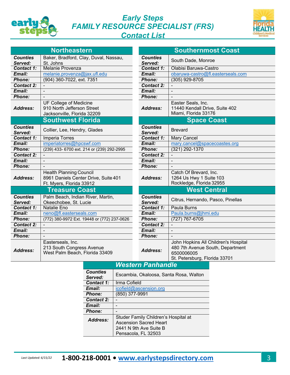

## *Early Steps FAMILY RESOURCE SPECIALIST (FRS) Contact List*



|                            | <b>Northeastern</b>                                                                                |                            | <b>Southernmost Coast</b>                                                             |
|----------------------------|----------------------------------------------------------------------------------------------------|----------------------------|---------------------------------------------------------------------------------------|
| <b>Counties</b>            | Baker, Bradford, Clay, Duval, Nassau,                                                              | <b>Counties</b>            | South Dade, Monroe                                                                    |
| Served:                    | St. Johns                                                                                          | Served:                    |                                                                                       |
| Contact 1:                 | <b>Melanie Provenza</b>                                                                            | Contact 1:                 | Olabisi Baruwa-Castro                                                                 |
| Email:                     | melanie.provenza@jax.ufl.edu                                                                       | Email:                     | obaruwa-castro@fl.easterseals.com                                                     |
| <b>Phone:</b>              | (904) 360-7022, ext. 7351                                                                          | <b>Phone:</b>              | $(305)$ 929-8705                                                                      |
| <b>Contact 2:</b>          |                                                                                                    | <b>Contact 2:</b>          | $\blacksquare$                                                                        |
| Email:                     |                                                                                                    | Email:                     |                                                                                       |
| Phone:                     |                                                                                                    | Phone:                     |                                                                                       |
| <b>Address:</b>            | <b>UF College of Medicine</b><br>910 North Jefferson Street<br>Jacksonville, Florida 32209         | <b>Address:</b>            | Easter Seals, Inc.<br>11440 Kendall Drive, Suite 402<br>Miami, Florida 33176          |
|                            | <b>Southwest Florida</b>                                                                           |                            | <b>Space Coast</b>                                                                    |
| <b>Counties</b><br>Served: | Collier, Lee, Hendry, Glades                                                                       | <b>Counties</b><br>Served: | <b>Brevard</b>                                                                        |
| Contact 1:                 | <b>Imperia Torres</b>                                                                              | Contact 1:                 | <b>Mary Cancel</b>                                                                    |
| Email:                     | imperiatorres@hpcswf.com                                                                           | Email:                     | mary.cancel@spacecoastes.org                                                          |
| Phone:                     | (239) 433- 6700 ext. 214 or (239) 292-2995                                                         | <b>Phone:</b>              | (321) 292-1370                                                                        |
| <b>Contact 2:</b>          |                                                                                                    | <b>Contact 2:</b>          |                                                                                       |
| Email:                     |                                                                                                    | Email:                     |                                                                                       |
| Phone:                     |                                                                                                    | <b>Phone:</b>              |                                                                                       |
| Address:                   | <b>Health Planning Council</b><br>8961 Daniels Center Drive, Suite 401<br>Ft. Myers, Florida 33912 | Address:                   | Catch Of Brevard, Inc.<br>1264 Us Hwy 1 Suite 103<br>Rockledge, Florida 32955         |
| <b>Treasure Coast</b>      |                                                                                                    |                            | <b>West Central</b>                                                                   |
| <b>Counties</b><br>Served: | Palm Beach, Indian River, Martin,<br>Okeechobee, St. Lucie                                         | <b>Counties</b><br>Served: | Citrus, Hernando, Pasco, Pinellas                                                     |
| Contact 1:                 | <b>Natalie Eno</b>                                                                                 | Contact 1:                 | Paula Burns                                                                           |
| Email:                     | neno@fl.easterseals.com                                                                            | Email:                     | Paula.burns@jhmi.edu                                                                  |
| Phone:                     | (772) 380-9972 Ext. 19448 or (772) 237-0626                                                        | <b>Phone:</b>              | $(727)$ 767-6705                                                                      |
| <b>Contact 2:</b>          |                                                                                                    | <b>Contact 2:</b>          |                                                                                       |
| Email:                     |                                                                                                    | Email:                     |                                                                                       |
| <b>Phone:</b>              |                                                                                                    | <b>Phone:</b>              |                                                                                       |
| Address:                   | Easterseals, Inc.<br>213 South Congress Avenue<br>West Palm Beach, Florida 33409                   | <b>Address:</b>            | John Hopkins All Children's Hospita<br>480 7th Avenue South, Department<br>6500006005 |

| <b>Northeastern</b>                                                                     | <b>Southernmost Coast</b>  |                                                                                                                         |  |
|-----------------------------------------------------------------------------------------|----------------------------|-------------------------------------------------------------------------------------------------------------------------|--|
| aker, Bradford, Clay, Duval, Nassau,<br>. Johns                                         | <b>Counties</b><br>Served: | South Dade, Monroe                                                                                                      |  |
| elanie Provenza                                                                         | Contact 1:                 | Olabisi Baruwa-Castro                                                                                                   |  |
| elanie.provenza@jax.ufl.edu                                                             | Email:                     | obaruwa-castro@fl.easterseals.com                                                                                       |  |
| 04) 360-7022, ext. 7351                                                                 | <b>Phone:</b>              | $(305)$ 929-8705                                                                                                        |  |
|                                                                                         | <b>Contact 2:</b>          |                                                                                                                         |  |
|                                                                                         | Email:                     |                                                                                                                         |  |
|                                                                                         | <b>Phone:</b>              |                                                                                                                         |  |
| F College of Medicine<br>10 North Jefferson Street<br>tcksonville, Florida 32209        | Address:                   | Easter Seals, Inc.<br>11440 Kendall Drive, Suite 402<br>Miami, Florida 33176                                            |  |
| outhwest Florida                                                                        | <b>Space Coast</b>         |                                                                                                                         |  |
| ollier, Lee, Hendry, Glades                                                             | <b>Counties</b><br>Served: | <b>Brevard</b>                                                                                                          |  |
| nperia Torres                                                                           | Contact 1:                 | <b>Mary Cancel</b>                                                                                                      |  |
| iperiatorres@hpcswf.com                                                                 | Email:                     | mary.cancel@spacecoastes.org                                                                                            |  |
| 39) 433- 6700 ext. 214 or (239) 292-2995                                                | Phone:                     | $(321)$ 292-1370                                                                                                        |  |
|                                                                                         | <b>Contact 2:</b>          |                                                                                                                         |  |
|                                                                                         | Email:                     |                                                                                                                         |  |
|                                                                                         | Phone:                     |                                                                                                                         |  |
| ealth Planning Council<br>061 Daniels Center Drive, Suite 401<br>. Myers, Florida 33912 | Address:                   | Catch Of Brevard, Inc.<br>1264 Us Hwy 1 Suite 103<br>Rockledge, Florida 32955                                           |  |
| <b>Treasure Coast</b>                                                                   | <b>West Central</b>        |                                                                                                                         |  |
| alm Beach, Indian River, Martin,<br>keechobee, St. Lucie                                | <b>Counties</b><br>Served: | Citrus, Hernando, Pasco, Pinellas                                                                                       |  |
| atalie Eno                                                                              | Contact 1:                 | <b>Paula Burns</b>                                                                                                      |  |
| eno@fl.easterseals.com                                                                  | Email:                     | Paula.burns@jhmi.edu                                                                                                    |  |
| 72) 380-9972 Ext. 19448 or (772) 237-0626                                               | <b>Phone:</b>              | $(727)$ 767-6705                                                                                                        |  |
|                                                                                         | Contact 2:                 |                                                                                                                         |  |
|                                                                                         | Email:                     |                                                                                                                         |  |
|                                                                                         | <b>Phone:</b>              |                                                                                                                         |  |
| asterseals, Inc.<br>3 South Congress Avenue<br>est Palm Beach, Florida 33409            | <b>Address:</b>            | John Hopkins All Children's Hospital<br>480 7th Avenue South, Department<br>6500006005<br>St. Petersburg, Florida 33701 |  |
|                                                                                         | Western Panhandle          |                                                                                                                         |  |

| <b>Western Panhandle</b>   |                                                                                          |  |  |  |
|----------------------------|------------------------------------------------------------------------------------------|--|--|--|
| <b>Counties</b><br>Served: | Escambia, Okaloosa, Santa Rosa, Walton                                                   |  |  |  |
| Contact 1:                 | Irma Cofield                                                                             |  |  |  |
| Email:                     | icofield@ascension.org                                                                   |  |  |  |
| <b>Phone:</b>              | (850) 377-9991                                                                           |  |  |  |
| <b>Contact 2:</b>          |                                                                                          |  |  |  |
| Email:                     |                                                                                          |  |  |  |
| <b>Phone:</b>              |                                                                                          |  |  |  |
| Address:                   | Studer Family Children's Hospital at<br>Ascension Sacred Heart<br>2441 N 9th Ave Suite B |  |  |  |
|                            | Pensacola, FL 32503                                                                      |  |  |  |